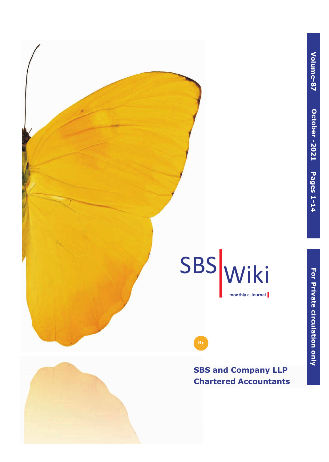$\triangleleft$ **olu**



# SBS Wiki **monthly e-Journal**

**SBS and Company LLP Chartered Accountants**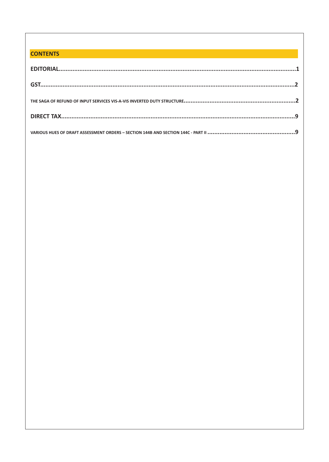# **CONTENTS**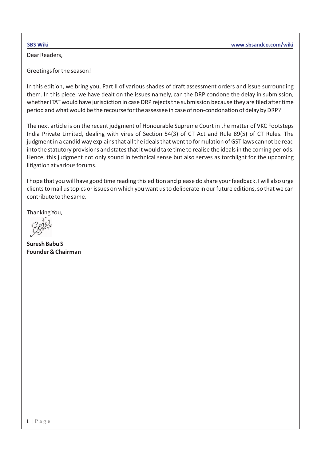Dear Readers,

Greetings for the season!

In this edition, we bring you, Part II of various shades of draft assessment orders and issue surrounding them. In this piece, we have dealt on the issues namely, can the DRP condone the delay in submission, whether ITAT would have jurisdiction in case DRP rejects the submission because they are filed after time period and what would be the recourse for the assessee in case of non-condonation of delay by DRP?

The next article is on the recent judgment of Honourable Supreme Court in the matter of VKC Footsteps India Private Limited, dealing with vires of Section 54(3) of CT Act and Rule 89(5) of CT Rules. The judgment in a candid way explains that all the ideals that went to formulation of GST laws cannot be read into the statutory provisions and states that it would take time to realise the ideals in the coming periods. Hence, this judgment not only sound in technical sense but also serves as torchlight for the upcoming litigation at various forums.

I hope that you will have good time reading this edition and please do share your feedback. I will also urge clients to mail us topics or issues on which you want us to deliberate in our future editions, so that we can contribute to the same.

Thanking You,

**Suresh Babu S Founder & Chairman**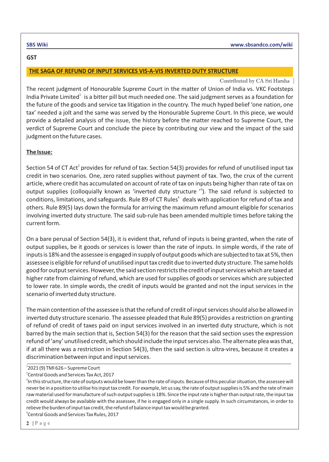#### **GST**

### **THE SAGA OF REFUND OF INPUT SERVICES VIS-A-VIS INVERTED DUTY STRUCTURE**

#### Contributed by CA Sri Harsha

The recent judgment of Honourable Supreme Court in the matter of Union of India vs. VKC Footsteps India Private Limited<sup>1</sup> is a bitter pill but much needed one. The said judgment serves as a foundation for the future of the goods and service tax litigation in the country. The much hyped belief 'one nation, one tax' needed a jolt and the same was served by the Honourable Supreme Court. In this piece, we would provide a detailed analysis of the issue, the history before the matter reached to Supreme Court, the verdict of Supreme Court and conclude the piece by contributing our view and the impact of the said judgment on the future cases.

### **The Issue:**

Section 54 of CT Act<sup>2</sup> provides for refund of tax. Section 54(3) provides for refund of unutilised input tax credit in two scenarios. One, zero rated supplies without payment of tax. Two, the crux of the current article, where credit has accumulated on account of rate of tax on inputs being higher than rate of tax on output supplies (colloquially known as 'inverted duty structure  $^3$ ). The said refund is subjected to conditions, limitations, and safeguards. Rule 89 of CT Rules<sup>4</sup> deals with application for refund of tax and others. Rule 89(5) lays down the formula for arriving the maximum refund amount eligible for scenarios involving inverted duty structure. The said sub-rule has been amended multiple times before taking the current form.

On a bare perusal of Section 54(3), it is evident that, refund of inputs is being granted, when the rate of output supplies, be it goods or services is lower than the rate of inputs. In simple words, if the rate of inputs is 18% and the assessee is engaged in supply of output goods which are subjected to tax at 5%, then assessee is eligible for refund of unutilised input tax credit due to inverted duty structure. The same holds good for output services. However, the said section restricts the credit of input services which are taxed at higher rate from claiming of refund, which are used for supplies of goods or services which are subjected to lower rate. In simple words, the credit of inputs would be granted and not the input services in the scenario of inverted duty structure.

The main contention of the assessee is that the refund of credit of input services should also be allowed in inverted duty structure scenario. The assessee pleaded that Rule 89(5) provides a restriction on granting of refund of credit of taxes paid on input services involved in an inverted duty structure, which is not barred by the main section that is, Section 54(3) for the reason that the said section uses the expression refund of 'any' unutilised credit, which should include the input services also. The alternate plea was that, if at all there was a restriction in Section 54(3), then the said section is ultra-vires, because it creates a discrimination between input and input services.

2 Central Goods and Services Tax Act, 2017

<sup>1</sup> 2021 (9) TMI 626 – Supreme Court

 $^3$ In this structure, the rate of outputs would be lower than the rate of inputs. Because of this peculiar situation, the assessee will never be in a position to utilise his input tax credit. For example, let us say, the rate of output supplies is 5% and the rate of main raw material used for manufacture of such output supplies is 18%. Since the input rate is higher than output rate, the input tax credit would always be available with the assessee, if he is engaged only in a single supply. In such circumstances, in order to relieve the burden of input tax credit, the refund of balance input tax would be granted. 4 Central Goods and Services Tax Rules, 2017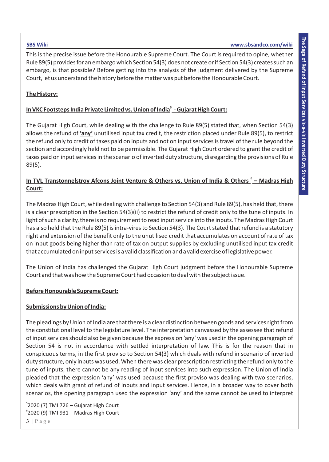This is the precise issue before the Honourable Supreme Court. The Court is required to opine, whether Rule 89(5) provides for an embargo which Section 54(3) does not create or if Section 54(3) creates such an embargo, is that possible? Before getting into the analysis of the judgment delivered by the Supreme Court, let us understand the history before the matter was put before the Honourable Court.

#### **The History:**

# <u>In VKC Footsteps India Private Limited vs. Union of India<sup>s</sup> - Gujarat High Court:</u>

The Gujarat High Court, while dealing with the challenge to Rule 89(5) stated that, when Section 54(3) allows the refund of **'any'** unutilised input tax credit, the restriction placed under Rule 89(5), to restrict the refund only to credit of taxes paid on inputs and not on input services is travel of the rule beyond the section and accordingly held not to be permissible. The Gujarat High Court ordered to grant the credit of taxes paid on input services in the scenario of inverted duty structure, disregarding the provisions of Rule 89(5).

# In TVL Transtonnelstroy Afcons Joint Venture & Others vs. Union of India & Others  $\frac{6}{5}$  – Madras High **Court:**

The Madras High Court, while dealing with challenge to Section 54(3) and Rule 89(5), has held that, there is a clear prescription in the Section 54(3)(ii) to restrict the refund of credit only to the tune of inputs. In light of such a clarity, there is no requirement to read input service into the inputs. The Madras High Court has also held that the Rule 89(5) is intra-vires to Section 54(3). The Court stated that refund is a statutory right and extension of the benefit only to the unutilised credit that accumulates on account of rate of tax on input goods being higher than rate of tax on output supplies by excluding unutilised input tax credit that accumulated on input services is a valid classification and a valid exercise of legislative power.

The Union of India has challenged the Gujarat High Court judgment before the Honourable Supreme Court and that was how the Supreme Court had occasion to deal with the subject issue.

#### **Before Honourable Supreme Court:**

#### **Submissions by Union of India:**

The pleadings by Union of India are that there is a clear distinction between goods and services right from the constitutional level to the legislature level. The interpretation canvassed by the assessee that refund of input services should also be given because the expression 'any' was used in the opening paragraph of Section 54 is not in accordance with settled interpretation of law. This is for the reason that in conspicuous terms, in the first proviso to Section 54(3) which deals with refund in scenario of inverted duty structure, only inputs was used. When there was clear prescription restricting the refund only to the tune of inputs, there cannot be any reading of input services into such expression. The Union of India pleaded that the expression 'any' was used because the first proviso was dealing with two scenarios, which deals with grant of refund of inputs and input services. Hence, in a broader way to cover both scenarios, the opening paragraph used the expression 'any' and the same cannot be used to interpret

5 2020 (7) TMI 726 – Gujarat High Court 6 2020 (9) TMI 931 – Madras High Court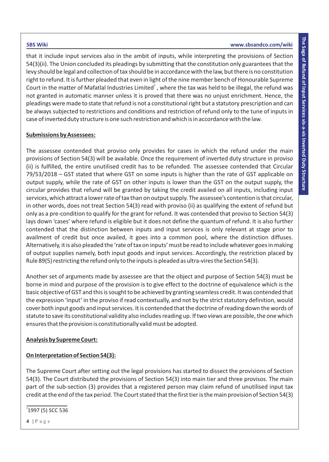that it include input services also in the ambit of inputs, while interpreting the provisions of Section 54(3)(ii). The Union concluded its pleadings by submitting that the constitution only guarantees that the levy should be legal and collection of tax should be in accordance with the law, but there is no constitution right to refund. It is further pleaded that even in light of the nine member bench of Honourable Supreme Court in the matter of Mafatlal Industries Limited<sup>7</sup>, where the tax was held to be illegal, the refund was not granted in automatic manner unless it is proved that there was no unjust enrichment. Hence, the pleadings were made to state that refund is not a constitutional right but a statutory prescription and can be always subjected to restrictions and conditions and restriction of refund only to the tune of inputs in case of inverted duty structure is one such restriction and which is in accordance with the law.

# **Submissions by Assessees:**

The assessee contended that proviso only provides for cases in which the refund under the main provisions of Section 54(3) will be available. Once the requirement of inverted duty structure in proviso (ii) is fulfilled, the entire unutilised credit has to be refunded. The assessee contended that Circular 79/53/2018 – GST stated that where GST on some inputs is higher than the rate of GST applicable on output supply, while the rate of GST on other inputs is lower than the GST on the output supply, the circular provides that refund will be granted by taking the credit availed on all inputs, including input services, which attract a lower rate of tax than on output supply. The assessee's contention is that circular, in other words, does not treat Section 54(3) read with proviso (ii) as qualifying the extent of refund but only as a pre-condition to qualify for the grant for refund. It was contended that proviso to Section 54(3) lays down 'cases' where refund is eligible but it does not define the quantum of refund. It is also further contended that the distinction between inputs and input services is only relevant at stage prior to availment of credit but once availed, it goes into a common pool, where the distinction diffuses. Alternatively, it is also pleaded the 'rate of tax on inputs' must be read to include whatever goes in making of output supplies namely, both input goods and input services. Accordingly, the restriction placed by Rule 89(5) restricting the refund only to the inputs is pleaded as ultra-vires the Section 54(3).

Another set of arguments made by assessee are that the object and purpose of Section 54(3) must be borne in mind and purpose of the provision is to give effect to the doctrine of equivalence which is the basic objective of GST and this is sought to be achieved by granting seamless credit. It was contended that the expression 'input' in the proviso if read contextually, and not by the strict statutory definition, would cover both input goods and input services. It is contended that the doctrine of reading down the words of statute to save its constitutional validity also includes reading up. If two views are possible, the one which ensures that the provision is constitutionally valid must be adopted.

# **Analysis by Supreme Court:**

# **On Interpretation of Section 54(3):**

The Supreme Court after setting out the legal provisions has started to dissect the provisions of Section 54(3). The Court distributed the provisions of Section 54(3) into main tier and three provisos. The main part of the sub-section (3) provides that a registered person may claim refund of unutilised input tax credit at the end of the tax period. The Court stated that the first tier is the main provision of Section 54(3)

# <sup>7</sup>1997 (5) SCC 536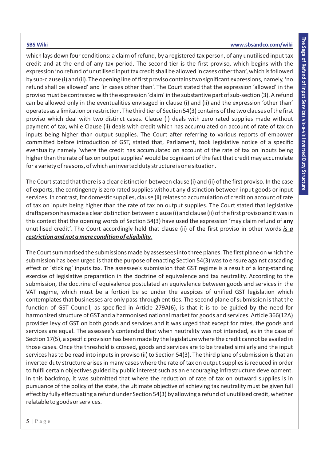which lays down four conditions: a claim of refund, by a registered tax person, of any unutilised input tax credit and at the end of any tax period. The second tier is the first proviso, which begins with the expression 'no refund of unutilised input tax credit shall be allowed in cases other than', which is followed by sub-clause (i) and (ii). The opening line of first proviso contains two significant expressions, namely, 'no refund shall be allowed' and 'in cases other than'. The Court stated that the expression 'allowed' in the proviso must be contrasted with the expression 'claim' in the substantive part of sub-section (3). A refund can be allowed only in the eventualities envisaged in clause (i) and (ii) and the expression 'other than' operates as a limitation or restriction. The third tier of Section 54(3) contains of the two clauses of the first proviso which deal with two distinct cases. Clause (i) deals with zero rated supplies made without payment of tax, while Clause (ii) deals with credit which has accumulated on account of rate of tax on inputs being higher than output supplies. The Court after referring to various reports of empower committed before introduction of GST, stated that, Parliament, took legislative notice of a specific eventuality namely 'where the credit has accumulated on account of the rate of tax on inputs being higher than the rate of tax on output supplies' would be cognizant of the fact that credit may accumulate for a variety of reasons, of which an inverted duty structure is one situation.

The Court stated that there is a clear distinction between clause (i) and (ii) of the first proviso. In the case of exports, the contingency is zero rated supplies without any distinction between input goods or input services. In contrast, for domestic supplies, clause (ii) relates to accumulation of credit on account of rate of tax on inputs being higher than the rate of tax on output supplies. The Court stated that legislative draftsperson has made a clear distinction between clause (i) and clause (ii) of the first proviso and it was in this context that the opening words of Section 54(3) have used the expression 'may claim refund of **any** unutilised credit'. The Court accordingly held that clause (ii) of the first proviso in other words *is a restriction and not a mere condition of eligibility.* 

The Court summarised the submissions made by assessees into three planes. The first plane on which the submission has been urged is that the purpose of enacting Section 54(3) was to ensure against cascading effect or 'sticking' inputs tax. The assessee's submission that GST regime is a result of a long-standing exercise of legislative preparation in the doctrine of equivalence and tax neutrality. According to the submission, the doctrine of equivalence postulated an equivalence between goods and services in the VAT regime, which must be a fortiori be so under the auspices of unified GST legislation which contemplates that businesses are only pass-through entities. The second plane of submission is that the function of GST Council, as specified in Article 279A(6), is that it is to be guided by the need for harmonized structure of GST and a harmonised national market for goods and services. Article 366(12A) provides levy of GST on both goods and services and it was urged that except for rates, the goods and services are equal. The assessee's contended that when neutrality was not intended, as in the case of Section 17(5), a specific provision has been made by the legislature where the credit cannot be availed in those cases. Once the threshold is crossed, goods and services are to be treated similarly and the input services has to be read into inputs in proviso (ii) to Section 54(3). The third plane of submission is that an inverted duty structure arises in many cases where the rate of tax on output supplies is reduced in order to fulfil certain objectives guided by public interest such as an encouraging infrastructure development. In this backdrop, it was submitted that where the reduction of rate of tax on outward supplies is in pursuance of the policy of the state, the ultimate objective of achieving tax neutrality must be given full effect by fully effectuating a refund under Section 54(3) by allowing a refund of unutilised credit, whether relatable to goods or services.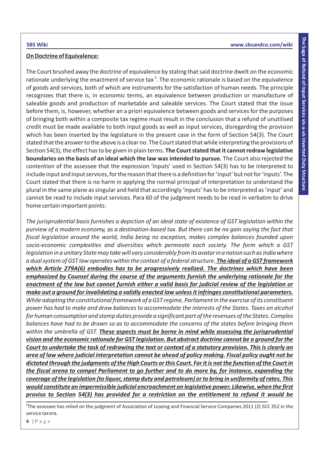### **On Doctrine of Equivalence:**

The Court brushed away the doctrine of equivalence by stating that said doctrine dwelt on the economic rationale underlying the enactment of service tax<sup>8</sup>. The economic rationale is based on the equivalence of goods and services, both of which are instruments for the satisfaction of human needs. The principle recognizes that there is, in economic terms, an equivalence between production or manufacture of saleable goods and production of marketable and saleable services. The Court stated that the issue before them, is, however, whether an a priori equivalence between goods and services for the purposes of bringing both within a composite tax regime must result in the conclusion that a refund of unutilised credit must be made available to both input goods as well as input services, disregarding the provision which has been inserted by the legislature in the present case in the form of Section 54(3). The Court stated that the answer to the above is a clear no. The Court stated that while interpreting the provisions of Section 54(3), the effect has to be given in plain terms. **The Court stated that it cannot redraw legislative boundaries on the basis of an ideal which the law was intended to pursue.** The Court also rejected the contention of the assessee that the expression 'inputs' used in Section 54(3) has to be interpreted to include input and input services, for the reason that there is a definition for 'input' but not for 'inputs'. The Court stated that there is no harm in applying the normal principal of interpretation to understand the plural in the same plane as singular and held that accordingly 'inputs' has to be interpreted as 'input' and cannot be read to include input services. Para 60 of the judgment needs to be read in verbatim to drive home certain important points:

*The jurisprudential basis furnishes a depiction of an ideal state of existence of GST legislation within the purview of a modern economy, as a destination-based tax. But there can be no gain saying the fact that fiscal legislation around the world, India being no exception, makes complex balances founded upon socio-economic complexities and diversities which permeate each society. The form which a GST legislation in a unitary State may take will vary considerably from its avatar in a nation such as India where a dual system of GST law operates within the context of a federal structure. The ideal of a GST framework which Article 279A(6) embodies has to be progressively realized. The doctrines which have been emphasized by Counsel during the course of the arguments furnish the underlying rationale for the enactment of the law but cannot furnish either a valid basis for judicial review of the legislation or make out a ground for invalidating a validly enacted law unless it infringes constitutional parameters. While adopting the constitutional framework of a GST regime, Parliament in the exercise of its constituent power has had to make and draw balances to accommodate the interests of the States. Taxes on alcohol for human consumption and stamp duties provide a significant part of the revenues of the States. Complex balances have had to be drawn so as to accommodate the concerns of the states before bringing them within the umbrella of GST. These aspects must be borne in mind while assessing the jurisprudential vision and the economic rationale for GST legislation. But abstract doctrine cannot be a ground for the Court to undertake the task of redrawing the text or context of a statutory provision. This is clearly an area of law where judicial interpretation cannot be ahead of policy making. Fiscal policy ought not be dictated through the judgments of the High Courts or this Court. For it is not the function of the Court in the fiscal arena to compel Parliament to go further and to do more by, for instance, expanding the coverage of the legislation (to liquor, stamp duty and petroleum) or to bring in uniformity of rates. This would constitute an impermissible judicial encroachment on legislative power. Likewise, when the first proviso to Section 54(3) has provided for a restriction on the entitlement to refund it would be* 

 ${}^{8}$ The assessee has relied on the judgment of Association of Leasing and Financial Service Companies 2011 (2) SCC 352 in the service tax era.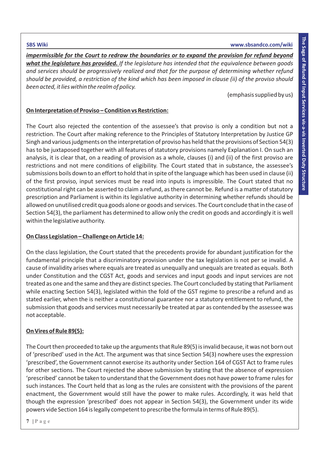*impermissible for the Court to redraw the boundaries or to expand the provision for refund beyond what the legislature has provided. If the legislature has intended that the equivalence between goods and services should be progressively realized and that for the purpose of determining whether refund should be provided, a restriction of the kind which has been imposed in clause (ii) of the proviso should been acted, it lies within the realm of policy.*

(emphasis supplied by us)

# **On Interpretation of Proviso – Condition vs Restriction:**

The Court also rejected the contention of the assessee's that proviso is only a condition but not a restriction. The Court after making reference to the Principles of Statutory Interpretation by Justice GP Singh and various judgments on the interpretation of proviso has held that the provisions of Section 54(3) has to be juxtaposed together with all features of statutory provisions namely Explanation I. On such an analysis, it is clear that, on a reading of provision as a whole, clauses (i) and (ii) of the first proviso are restrictions and not mere conditions of eligibility. The Court stated that in substance, the assessee's submissions boils down to an effort to hold that in spite of the language which has been used in clause (ii) of the first proviso, input services must be read into inputs is impressible. The Court stated that no constitutional right can be asserted to claim a refund, as there cannot be. Refund is a matter of statutory prescription and Parliament is within its legislative authority in determining whether refunds should be allowed on unutilised credit qua goods alone or goods and services. The Court conclude that in the case of Section 54(3), the parliament has determined to allow only the credit on goods and accordingly it is well within the legislative authority.

## **On Class Legislation – Challenge on Article 14:**

On the class legislation, the Court stated that the precedents provide for abundant justification for the fundamental principle that a discriminatory provision under the tax legislation is not per se invalid. A cause of invalidity arises where equals are treated as unequally and unequals are treated as equals. Both under Constitution and the CGST Act, goods and services and input goods and input services are not treated as one and the same and they are distinct species. The Court concluded by stating that Parliament while enacting Section 54(3), legislated within the fold of the GST regime to prescribe a refund and as stated earlier, when the is neither a constitutional guarantee nor a statutory entitlement to refund, the submission that goods and services must necessarily be treated at par as contended by the assessee was not acceptable.

# **On Vires of Rule 89(5):**

The Court then proceeded to take up the arguments that Rule 89(5) is invalid because, it was not born out of 'prescribed' used in the Act. The argument was that since Section 54(3) nowhere uses the expression 'prescribed', the Government cannot exercise its authority under Section 164 of CGST Act to frame rules for other sections. The Court rejected the above submission by stating that the absence of expression 'prescribed' cannot be taken to understand that the Government does not have power to frame rules for such instances. The Court held that as long as the rules are consistent with the provisions of the parent enactment, the Government would still have the power to make rules. Accordingly, it was held that though the expression 'prescribed' does not appear in Section 54(3), the Government under its wide powers vide Section 164 is legally competent to prescribe the formula in terms of Rule 89(5).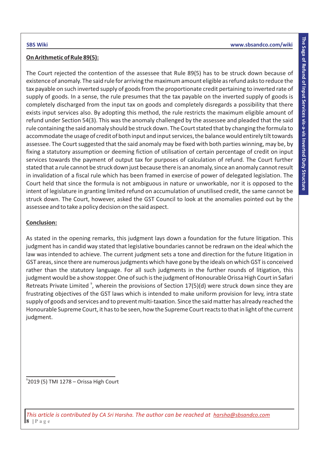### **On Arithmetic of Rule 89(5):**

The Court rejected the contention of the assessee that Rule 89(5) has to be struck down because of existence of anomaly. The said rule for arriving the maximum amount eligible as refund asks to reduce the tax payable on such inverted supply of goods from the proportionate credit pertaining to inverted rate of supply of goods. In a sense, the rule presumes that the tax payable on the inverted supply of goods is completely discharged from the input tax on goods and completely disregards a possibility that there exists input services also. By adopting this method, the rule restricts the maximum eligible amount of refund under Section 54(3). This was the anomaly challenged by the assessee and pleaded that the said rule containing the said anomaly should be struck down. The Court stated that by changing the formula to accommodate the usage of credit of both input and input services, the balance would entirely tilt towards assessee. The Court suggested that the said anomaly may be fixed with both parties winning, may be, by fixing a statutory assumption or deeming fiction of utilisation of certain percentage of credit on input services towards the payment of output tax for purposes of calculation of refund. The Court further stated that a rule cannot be struck down just because there is an anomaly, since an anomaly cannot result in invalidation of a fiscal rule which has been framed in exercise of power of delegated legislation. The Court held that since the formula is not ambiguous in nature or unworkable, nor it is opposed to the intent of legislature in granting limited refund on accumulation of unutilised credit, the same cannot be struck down. The Court, however, asked the GST Council to look at the anomalies pointed out by the assessee and to take a policy decision on the said aspect.

## **Conclusion:**

As stated in the opening remarks, this judgment lays down a foundation for the future litigation. This judgment has in candid way stated that legislative boundaries cannot be redrawn on the ideal which the law was intended to achieve. The current judgment sets a tone and direction for the future litigation in GST areas, since there are numerous judgments which have gone by the ideals on which GST is conceived rather than the statutory language. For all such judgments in the further rounds of litigation, this judgment would be a show stopper. One of such is the judgment of Honourable Orissa High Court in Safari Retreats Private Limited<sup>9</sup>, wherein the provisions of Section 17(5)(d) were struck down since they are frustrating objectives of the GST laws which is intended to make uniform provision for levy, intra state supply of goods and services and to prevent multi-taxation. Since the said matter has already reached the Honourable Supreme Court, it has to be seen, how the Supreme Court reacts to that in light of the current judgment.

9 2019 (5) TMI 1278 – Orissa High Court

**8 | P a g e** *This article is contributed by CA Sri Harsha. The author can be reached at harsha@sbsandco.com*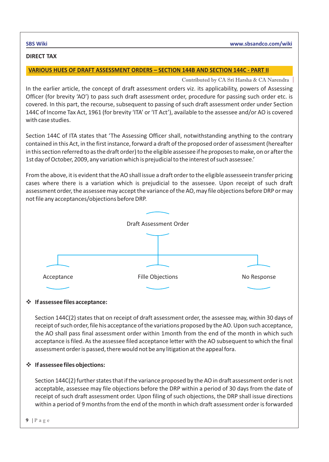#### **DIRECT TAX**

### **VARIOUS HUES OF DRAFT ASSESSMENT ORDERS – SECTION 144B AND SECTION 144C - PART II**

Contributed by CA Sri Harsha & CA Narendra

In the earlier article, the concept of draft assessment orders viz. its applicability, powers of Assessing Officer (for brevity 'AO') to pass such draft assessment order, procedure for passing such order etc. is covered. In this part, the recourse, subsequent to passing of such draft assessment order under Section 144C of Income Tax Act, 1961 (for brevity 'ITA' or 'IT Act'), available to the assessee and/or AO is covered with case studies.

Section 144C of ITA states that 'The Assessing Officer shall, notwithstanding anything to the contrary contained in this Act, in the first instance, forward a draft of the proposed order of assessment (hereafter in this section referred to as the draft order) to the eligible assessee if he proposes to make, on or after the 1st day of October, 2009, any variation which is prejudicial to the interest of such assessee.'

From the above, it is evident that the AO shall issue a draft order to the eligible assesseein transfer pricing cases where there is a variation which is prejudicial to the assessee. Upon receipt of such draft assessment order, the assessee may accept the variance of the AO, may file objections before DRP or may not file any acceptances/objections before DRP.



## v**If assessee files acceptance:**

Section 144C(2) states that on receipt of draft assessment order, the assessee may, within 30 days of receipt of such order, file his acceptance of the variations proposed by the AO. Upon such acceptance, the AO shall pass final assessment order within 1month from the end of the month in which such acceptance is filed. As the assessee filed acceptance letter with the AO subsequent to which the final assessment order is passed, there would not be any litigation at the appeal fora.

# v **If assessee files objections:**

Section 144C(2) further states that if the variance proposed by the AO in draft assessment order is not acceptable, assessee may file objections before the DRP within a period of 30 days from the date of receipt of such draft assessment order. Upon filing of such objections, the DRP shall issue directions within a period of 9 months from the end of the month in which draft assessment order is forwarded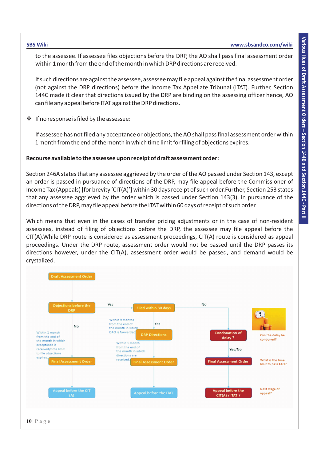to the assessee. If assessee files objections before the DRP, the AO shall pass final assessment order within 1 month from the end of the month in which DRP directions are received.

If such directions are against the assessee, assessee may file appeal against the final assessment order (not against the DRP directions) before the Income Tax Appellate Tribunal (ITAT). Further, Section 144C made it clear that directions issued by the DRP are binding on the assessing officer hence, AO can file any appeal before ITAT against the DRP directions.

v If no response is filed by the assessee:

If assessee has not filed any acceptance or objections, the AO shall pass final assessment order within 1 month from the end of the month in which time limit for filing of objections expires.

#### **Recourse available to the assessee upon receipt of draft assessment order:**

Section 246A states that any assessee aggrieved by the order of the AO passed under Section 143, except an order is passed in pursuance of directions of the DRP, may file appeal before the Commissioner of Income Tax (Appeals) [for brevity 'CIT(A)'] within 30 days receipt of such order.Further, Section 253 states that any assessee aggrieved by the order which is passed under Section 143(3), in pursuance of the directions of the DRP, may file appeal before the ITAT within 60 days of receipt of such order.

Which means that even in the cases of transfer pricing adjustments or in the case of non-resident assessees, instead of filing of objections before the DRP, the assessee may file appeal before the CIT(A).While DRP route is considered as assessment proceedings, CIT(A) route is considered as appeal proceedings. Under the DRP route, assessment order would not be passed until the DRP passes its directions however, under the CIT(A), assessment order would be passed, and demand would be crystalized.

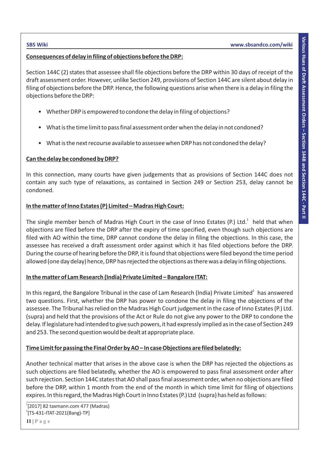### **Consequences of delay in filing of objections before the DRP:**

Section 144C (2) states that assessee shall file objections before the DRP within 30 days of receipt of the draft assessment order. However, unlike Section 249, provisions of Section 144C are silent about delay in filing of objections before the DRP. Hence, the following questions arise when there is a delay in filing the objections before the DRP:

- Whether DRP is empowered to condone the delay in filing of objections?
- What is the time limit to pass final assessment order when the delay in not condoned?
- What is the next recourse available to assessee when DRP has not condoned the delay?

#### **Can the delay be condoned by DRP?**

In this connection, many courts have given judgements that as provisions of Section 144C does not contain any such type of relaxations, as contained in Section 249 or Section 253, delay cannot be condoned.

### **In the matter of Inno Estates (P) Limited – Madras High Court:**

The single member bench of Madras High Court in the case of Inno Estates (P.) Ltd. $1$  held that when objections are filed before the DRP after the expiry of time specified, even though such objections are filed with AO within the time, DRP cannot condone the delay in filing the objections. In this case, the assessee has received a draft assessment order against which it has filed objections before the DRP. During the course of hearing before the DRP, it is found that objections were filed beyond the time period allowed (one day delay) hence, DRP has rejected the objections as there was a delay in filing objections.

## **In the matter of Lam Research (India) Private Limited – Bangalore ITAT:**

In this regard, the Bangalore Tribunal in the case of Lam Research (India) Private Limited<sup>2</sup> has answered two questions. First, whether the DRP has power to condone the delay in filing the objections of the assessee. The Tribunal has relied on the Madras High Court judgement in the case of Inno Estates (P.) Ltd. (supra) and held that the provisions of the Act or Rule do not give any power to the DRP to condone the delay. If legislature had intended to give such powers, it had expressly implied as in the case of Section 249 and 253. The second question would be dealt at appropriate place.

## **Time Limit for passing the Final Order by AO – In case Objections are filed belatedly:**

Another technical matter that arises in the above case is when the DRP has rejected the objections as such objections are filed belatedly, whether the AO is empowered to pass final assessment order after such rejection. Section 144C states that AO shall pass final assessment order, when no objections are filed before the DRP, within 1 month from the end of the month in which time limit for filing of objections expires. In this regard, the Madras High Court in Inno Estates (P.) Ltd (supra) has held as follows:

<sup>1</sup> [2017] 82 taxmann.com 477 (Madras)  $2$ [TS-431-ITAT-2021(Bang)-TP]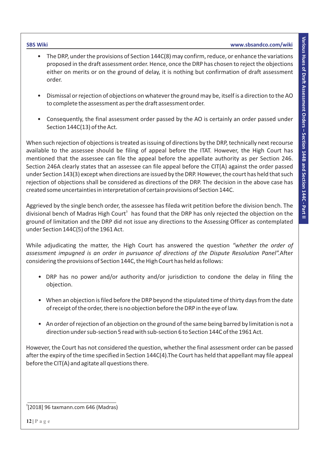- **SBS Wiki www.sbsandco.com/wiki**
	- The DRP, under the provisions of Section 144C(8) may confirm, reduce, or enhance the variations proposed in the draft assessment order. Hence, once the DRP has chosen to reject the objections either on merits or on the ground of delay, it is nothing but confirmation of draft assessment order.
	- Dismissal or rejection of objections on whatever the ground may be, itself is a direction to the AO to complete the assessment as per the draft assessment order.
	- Consequently, the final assessment order passed by the AO is certainly an order passed under Section 144C(13) of the Act.

When such rejection of objections is treated as issuing of directions by the DRP, technically next recourse available to the assessee should be filing of appeal before the ITAT. However, the High Court has mentioned that the assessee can file the appeal before the appellate authority as per Section 246. Section 246A clearly states that an assessee can file appeal before the CIT(A) against the order passed under Section 143(3) except when directions are issued by the DRP. However, the court has held that such rejection of objections shall be considered as directions of the DRP. The decision in the above case has created some uncertainties in interpretation of certain provisions of Section 144C.

Aggrieved by the single bench order, the assessee has fileda writ petition before the division bench. The divisional bench of Madras High Court<sup>3</sup> has found that the DRP has only rejected the objection on the ground of limitation and the DRP did not issue any directions to the Assessing Officer as contemplated under Section 144C(5) of the 1961 Act.

While adjudicating the matter, the High Court has answered the question *"whether the order of assessment impugned is an order in pursuance of directions of the Dispute Resolution Panel".*After considering the provisions of Section 144C, the High Court has held as follows:

- DRP has no power and/or authority and/or jurisdiction to condone the delay in filing the objection.
- When an objection is filed before the DRP beyond the stipulated time of thirty days from the date of receipt of the order, there is no objection before the DRP in the eye of law.
- An order of rejection of an objection on the ground of the same being barred by limitation is not a direction under sub-section 5 read with sub-section 6 to Section 144C of the 1961 Act.

However, the Court has not considered the question, whether the final assessment order can be passed after the expiry of the time specified in Section 144C(4).The Court has held that appellant may file appeal before the CIT(A) and agitate all questions there.

3 [2018] 96 taxmann.com 646 (Madras)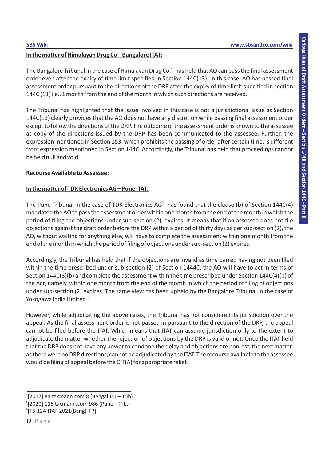#### **In the matter of Himalayan Drug Co – Bangalore ITAT:**

The Bangalore Tribunal in the case of Himalayan Drug Co.<sup>4</sup> has held that AO can pass the final assessment order even after the expiry of time limit specified in Section 144C(13). In this case, AO has passed final assessment order pursuant to the directions of the DRP after the expiry of time limit specified in section 144C (13) i.e., 1 month from the end of the month in which such directions are received.

The Tribunal has highlighted that the issue involved in this case is not a jurisdictional issue as Section 144C(13) clearly provides that the AO does not have any discretion while passing final assessment order except to follow the directions of the DRP. The outcome of the assessment order is known to the assessee as copy of the directions issued by the DRP has been communicated to the assessee. Further, the expression mentioned in Section 153, which prohibits the passing of order after certain time, is different from expression mentioned in Section 144C. Accordingly, the Tribunal has held that proceedings cannot be held null and void.

### **Recourse Available to Assessee:**

### **In the matter of TDK Electronics AG – Pune ITAT:**

The Pune Tribunal in the case of TDK Electronics AG<sup>5</sup> has found that the clause (b) of Section 144C(4) mandated the AO to pass the assessment order within one month from the end of the month in which the period of filing the objections under sub-section (2), expires. It means that if an assessee does not file objections against the draft order before the DRP within a period of thirty days as per sub-section (2), the AO, without waiting for anything else, will have to complete the assessment within one month from the end of the month in which the period of filing of objections under sub-section (2) expires.

Accordingly, the Tribunal has held that if the objections are invalid as time barred having not been filed within the time prescribed under sub-section (2) of Section 1444C, the AO will have to act in terms of Section 144C(3)(b) and complete the assessment within the time prescribed under Section 144C(4)(b) of the Act, namely, within one month from the end of the month in which the period of filing of objections under sub-section (2) expires. The same view has been upheld by the Bangalore Tribunal in the case of Yokogawa India Limited<sup>6</sup>.

However, while adjudicating the above cases, the Tribunal has not considered its jurisdiction over the appeal. As the final assessment order is not passed in pursuant to the direction of the DRP, the appeal cannot be filed before the ITAT. Which means that ITAT can assume jurisdiction only to the extent to adjudicate the matter whether the rejection of objections by the DRP is valid or not. Once the ITAT held that the DRP does not have any power to condone the delay and objections are non-est, the next matter, as there were no DRP directions, cannot be adjudicated by the ITAT. The recourse available to the assessee would be filing of appeal before the CIT(A) for appropriate relief.

<sup>4</sup> [2017] 84 taxmann.com 8 (Bengaluru – Trib) 5 [2020] 116 taxmann.com 986 (Pune - Trib.)  $\degree$ [TS-124-ITAT-2021(Bang)-TP]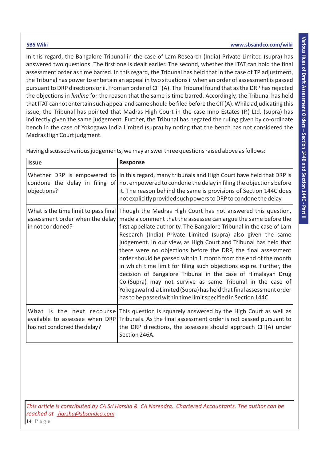In this regard, the Bangalore Tribunal in the case of Lam Research (India) Private Limited (supra) has answered two questions. The first one is dealt earlier. The second, whether the ITAT can hold the final assessment order as time barred. In this regard, the Tribunal has held that in the case of TP adjustment, the Tribunal has power to entertain an appeal in two situations i. when an order of assessment is passed pursuant to DRP directions or ii. From an order of CIT (A). The Tribunal found that as the DRP has rejected the objections in *limline* for the reason that the same is time barred. Accordingly, the Tribunal has held that ITAT cannot entertain such appeal and same should be filed before the CIT(A). While adjudicating this issue, the Tribunal has pointed that Madras High Court in the case Inno Estates (P.) Ltd. (supra) has indirectly given the same judgement. Further, the Tribunal has negated the ruling given by co-ordinate bench in the case of Yokogawa India Limited (supra) by noting that the bench has not considered the Madras High Court judgment.

| <b>Issue</b>                                                                                | <b>Response</b>                                                                                                                                                                                                                                                                                                                                                                                                                                                                                                                                                                                                                                                                                                                                                                                                             |
|---------------------------------------------------------------------------------------------|-----------------------------------------------------------------------------------------------------------------------------------------------------------------------------------------------------------------------------------------------------------------------------------------------------------------------------------------------------------------------------------------------------------------------------------------------------------------------------------------------------------------------------------------------------------------------------------------------------------------------------------------------------------------------------------------------------------------------------------------------------------------------------------------------------------------------------|
| objections?                                                                                 | Whether DRP is empowered to In this regard, many tribunals and High Court have held that DRP is<br>condone the delay in filing of not empowered to condone the delay in filing the objections before<br>it. The reason behind the same is provisions of Section 144C does<br>not explicitly provided such powers to DRP to condone the delay.                                                                                                                                                                                                                                                                                                                                                                                                                                                                               |
| What is the time limit to pass final<br>assessment order when the delay<br>in not condoned? | Though the Madras High Court has not answered this question,<br>made a comment that the assessee can argue the same before the<br>first appellate authority. The Bangalore Tribunal in the case of Lam<br>Research (India) Private Limited (supra) also given the same<br>judgement. In our view, as High Court and Tribunal has held that<br>there were no objections before the DRP, the final assessment<br>order should be passed within 1 month from the end of the month<br>in which time limit for filing such objections expire. Further, the<br>decision of Bangalore Tribunal in the case of Himalayan Drug<br>Co.(Supra) may not survive as same Tribunal in the case of<br>Yokogawa India Limited (Supra) has held that final assessment order<br>has to be passed within time limit specified in Section 144C. |
| What is the next recourse<br>available to assessee when DRP<br>has not condoned the delay?  | This question is squarely answered by the High Court as well as<br>Tribunals. As the final assessment order is not passed pursuant to<br>the DRP directions, the assessee should approach CIT(A) under<br>Section 246A.                                                                                                                                                                                                                                                                                                                                                                                                                                                                                                                                                                                                     |

Having discussed various judgements, we may answer three questions raised above as follows:

**14 | P a g e** *This article is contributed by CA Sri Harsha & CA Narendra, Chartered Accountants. The author can be reached at harsha@sbsandco.com*